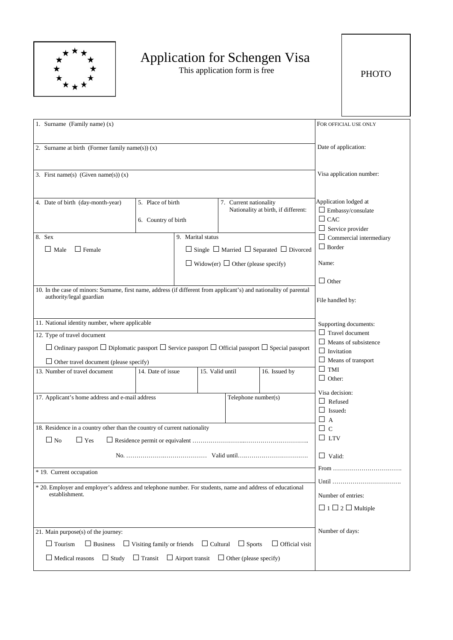

## Application for Schengen Visa

This application form is free

| 1. Surname (Family name) (x)                                                                                                                    |                                          |                                                |                        | FOR OFFICIAL USE ONLY                                         |                                                                                            |  |
|-------------------------------------------------------------------------------------------------------------------------------------------------|------------------------------------------|------------------------------------------------|------------------------|---------------------------------------------------------------|--------------------------------------------------------------------------------------------|--|
| 2. Surname at birth (Former family name(s)) $(x)$                                                                                               |                                          |                                                |                        | Date of application:                                          |                                                                                            |  |
| 3. First name(s) (Given name(s)) $(x)$                                                                                                          |                                          |                                                |                        | Visa application number:                                      |                                                                                            |  |
| 4. Date of birth (day-month-year)                                                                                                               | 5. Place of birth<br>6. Country of birth |                                                | 7. Current nationality | Nationality at birth, if different:                           | Application lodged at<br>$\Box$ Embassy/consulate<br>$\Box$ CAC<br>$\Box$ Service provider |  |
| 8. Sex                                                                                                                                          |                                          | 9. Marital status                              |                        |                                                               | $\Box$ Commercial intermediary                                                             |  |
| $\Box$ Female<br>$\Box$ Male                                                                                                                    |                                          |                                                |                        | $\Box$ Single $\Box$ Married $\Box$ Separated $\Box$ Divorced | $\Box$ Border                                                                              |  |
|                                                                                                                                                 |                                          | $\Box$ Widow(er) $\Box$ Other (please specify) |                        |                                                               | Name:                                                                                      |  |
|                                                                                                                                                 |                                          |                                                |                        |                                                               | $\Box$ Other                                                                               |  |
| 10. In the case of minors: Surname, first name, address (if different from applicant's) and nationality of parental<br>authority/legal guardian |                                          |                                                |                        | File handled by:                                              |                                                                                            |  |
| 11. National identity number, where applicable                                                                                                  |                                          |                                                |                        |                                                               | Supporting documents:                                                                      |  |
|                                                                                                                                                 |                                          |                                                |                        |                                                               | $\Box$ Travel document                                                                     |  |
| 12. Type of travel document                                                                                                                     |                                          |                                                |                        |                                                               | $\Box$ Means of subsistence                                                                |  |
| $\Box$ Ordinary passport $\Box$ Diplomatic passport $\Box$ Service passport $\Box$ Official passport $\Box$ Special passport                    |                                          |                                                |                        |                                                               | $\Box$ Invitation                                                                          |  |
| $\Box$ Other travel document (please specify)                                                                                                   |                                          |                                                |                        | $\Box$ Means of transport                                     |                                                                                            |  |
| 13. Number of travel document                                                                                                                   | 14. Date of issue                        | 15. Valid until                                |                        | 16. Issued by                                                 | $\Box$ TMI                                                                                 |  |
|                                                                                                                                                 |                                          |                                                |                        |                                                               | $\Box$ Other:                                                                              |  |
|                                                                                                                                                 |                                          |                                                |                        |                                                               | Visa decision:                                                                             |  |
| 17. Applicant's home address and e-mail address                                                                                                 |                                          |                                                | Telephone number(s)    |                                                               | $\Box$ Refused                                                                             |  |
|                                                                                                                                                 |                                          |                                                |                        |                                                               | $\Box$ Issued:                                                                             |  |
| 18. Residence in a country other than the country of current nationality                                                                        |                                          |                                                |                        |                                                               | $\Box$ A                                                                                   |  |
|                                                                                                                                                 |                                          |                                                |                        |                                                               | $\Box$ c<br>$\Box$ ltv                                                                     |  |
| $\Box$ No<br>$\Box$ Yes                                                                                                                         |                                          |                                                |                        |                                                               |                                                                                            |  |
|                                                                                                                                                 |                                          |                                                | $\Box$ Valid:          |                                                               |                                                                                            |  |
| * 19. Current occupation                                                                                                                        |                                          |                                                |                        |                                                               |                                                                                            |  |
| * 20. Employer and employer's address and telephone number. For students, name and address of educational                                       |                                          |                                                |                        | Until                                                         |                                                                                            |  |
| establishment.                                                                                                                                  |                                          |                                                | Number of entries:     |                                                               |                                                                                            |  |
|                                                                                                                                                 |                                          |                                                |                        | $\Box$ 1 $\Box$ 2 $\Box$ Multiple                             |                                                                                            |  |
|                                                                                                                                                 |                                          |                                                |                        |                                                               |                                                                                            |  |
| 21. Main purpose(s) of the journey:                                                                                                             |                                          |                                                |                        | Number of days:                                               |                                                                                            |  |
| $\Box$ Tourism<br>$\Box$ Visiting family or friends $\Box$ Cultural $\Box$ Sports<br>$\Box$ Official visit<br>$\Box$ Business                   |                                          |                                                |                        |                                                               |                                                                                            |  |
| $\Box$ Transit $\Box$ Airport transit $\Box$ Other (please specify)<br>$\Box$ Study<br>$\Box$ Medical reasons                                   |                                          |                                                |                        |                                                               |                                                                                            |  |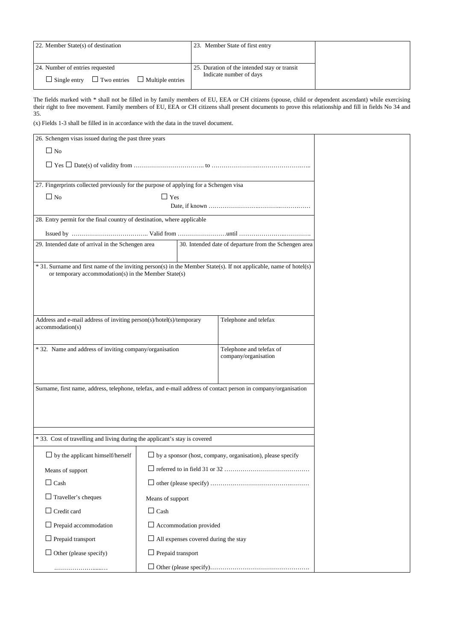| 22. Member State(s) of destination                                | 23. Member State of first entry              |  |
|-------------------------------------------------------------------|----------------------------------------------|--|
|                                                                   |                                              |  |
| 24. Number of entries requested                                   | 25. Duration of the intended stay or transit |  |
| $\Box$ Two entries $\Box$ Multiple entries<br>$\Box$ Single entry | Indicate number of days                      |  |

The fields marked with \* shall not be filled in by family members of EU, EEA or CH citizens (spouse, child or dependent ascendant) while exercising their right to free movement. Family members of EU, EEA or CH citizens shall present documents to prove this relationship and fill in fields No 34 and 35.

(x) Fields 1-3 shall be filled in in accordance with the data in the travel document.

| 26. Schengen visas issued during the past three years                                                              |                                                                   |  |                      |  |
|--------------------------------------------------------------------------------------------------------------------|-------------------------------------------------------------------|--|----------------------|--|
| $\Box$ No                                                                                                          |                                                                   |  |                      |  |
|                                                                                                                    |                                                                   |  |                      |  |
|                                                                                                                    |                                                                   |  |                      |  |
| 27. Fingerprints collected previously for the purpose of applying for a Schengen visa                              |                                                                   |  |                      |  |
| $\Box$ No                                                                                                          | $\Box$ Yes                                                        |  |                      |  |
|                                                                                                                    |                                                                   |  |                      |  |
| 28. Entry permit for the final country of destination, where applicable                                            |                                                                   |  |                      |  |
|                                                                                                                    |                                                                   |  |                      |  |
| 30. Intended date of departure from the Schengen area<br>29. Intended date of arrival in the Schengen area         |                                                                   |  |                      |  |
| * 31. Surname and first name of the inviting person(s) in the Member State(s). If not applicable, name of hotel(s) |                                                                   |  |                      |  |
| or temporary accommodation(s) in the Member State(s)                                                               |                                                                   |  |                      |  |
|                                                                                                                    |                                                                   |  |                      |  |
|                                                                                                                    |                                                                   |  |                      |  |
|                                                                                                                    |                                                                   |  |                      |  |
| Address and e-mail address of inviting person(s)/hotel(s)/temporary<br>Telephone and telefax<br>accommodation(s)   |                                                                   |  |                      |  |
|                                                                                                                    |                                                                   |  |                      |  |
| * 32. Name and address of inviting company/organisation<br>Telephone and telefax of                                |                                                                   |  |                      |  |
|                                                                                                                    |                                                                   |  | company/organisation |  |
|                                                                                                                    |                                                                   |  |                      |  |
| Surname, first name, address, telephone, telefax, and e-mail address of contact person in company/organisation     |                                                                   |  |                      |  |
|                                                                                                                    |                                                                   |  |                      |  |
|                                                                                                                    |                                                                   |  |                      |  |
|                                                                                                                    |                                                                   |  |                      |  |
|                                                                                                                    |                                                                   |  |                      |  |
| * 33. Cost of travelling and living during the applicant's stay is covered                                         |                                                                   |  |                      |  |
| $\Box$ by the applicant himself/herself                                                                            | $\Box$ by a sponsor (host, company, organisation), please specify |  |                      |  |
| Means of support                                                                                                   |                                                                   |  |                      |  |
| $\Box$ Cash                                                                                                        |                                                                   |  |                      |  |
| $\Box$ Traveller's cheques                                                                                         | Means of support                                                  |  |                      |  |
| $\Box$ Credit card                                                                                                 | $\Box$ Cash                                                       |  |                      |  |
| $\Box$ Prepaid accommodation                                                                                       | $\Box$ Accommodation provided                                     |  |                      |  |
| $\Box$ Prepaid transport                                                                                           | $\Box$ All expenses covered during the stay                       |  |                      |  |
| $\Box$ Other (please specify)                                                                                      | $\Box$ Prepaid transport                                          |  |                      |  |
|                                                                                                                    |                                                                   |  |                      |  |